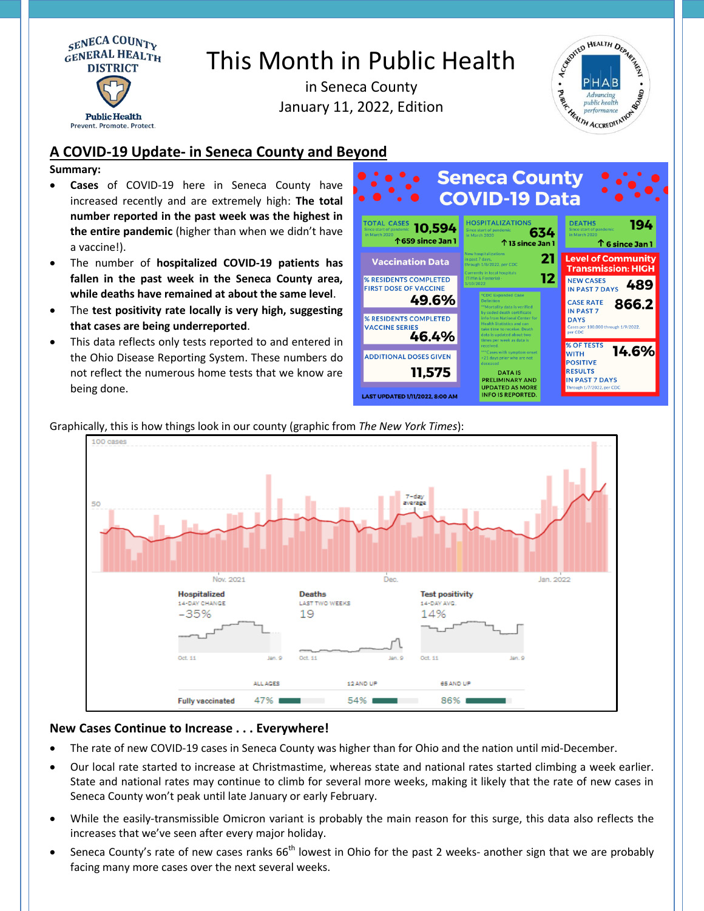

# This Month in Public Health

in Seneca County January 11, 2022, Edition



# **A COVID-19 Update- in Seneca County and Beyond**

### **Summary:**

- **Cases** of COVID-19 here in Seneca County have increased recently and are extremely high: **The total number reported in the past week was the highest in the entire pandemic** (higher than when we didn't have a vaccine!).
- The number of **hospitalized COVID-19 patients has fallen in the past week in the Seneca County area, while deaths have remained at about the same level**.
- The **test positivity rate locally is very high, suggesting that cases are being underreported**.
- This data reflects only tests reported to and entered in the Ohio Disease Reporting System. These numbers do not reflect the numerous home tests that we know are being done.





# Graphically, this is how things look in our county (graphic from *The New York Times*):

# **New Cases Continue to Increase . . . Everywhere!**

- The rate of new COVID-19 cases in Seneca County was higher than for Ohio and the nation until mid-December.
- Our local rate started to increase at Christmastime, whereas state and national rates started climbing a week earlier. State and national rates may continue to climb for several more weeks, making it likely that the rate of new cases in Seneca County won't peak until late January or early February.
- While the easily-transmissible Omicron variant is probably the main reason for this surge, this data also reflects the increases that we've seen after every major holiday.
- Seneca County's rate of new cases ranks 66<sup>th</sup> lowest in Ohio for the past 2 weeks- another sign that we are probably facing many more cases over the next several weeks.